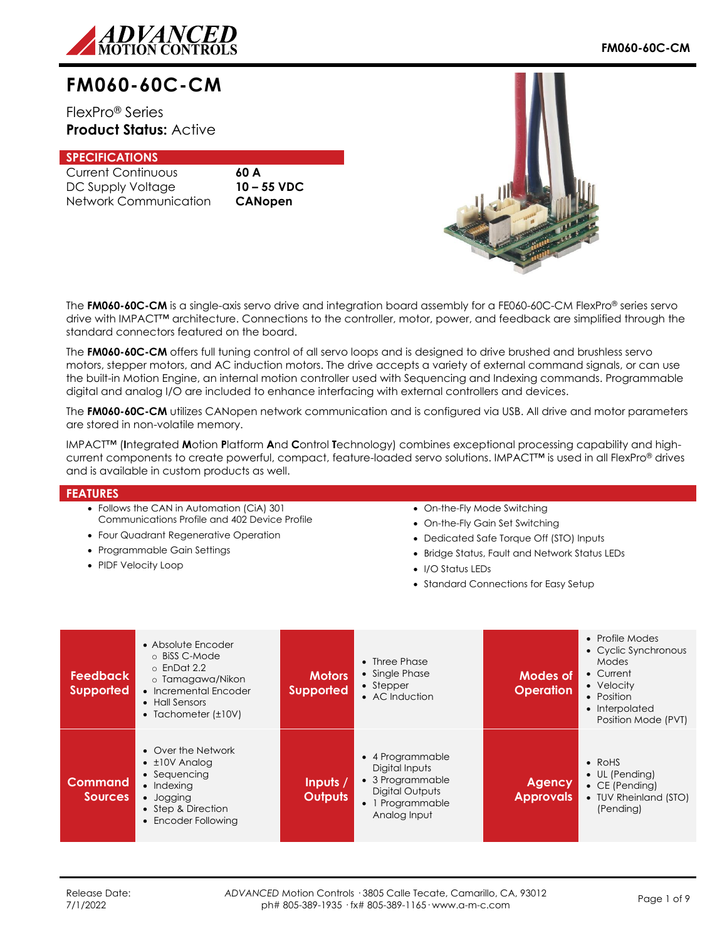

# **FM060-60C-CM**

FlexPro® Series **Product Status:** Active

## **SPECIFICATIONS**

Current Continuous **60 A** DC Supply Voltage **10 – 55 VDC** Network Communication **CANopen**



The **FM060-60C-CM** is a single-axis servo drive and integration board assembly for a FE060-60C-CM FlexPro® series servo drive with IMPACT™ architecture. Connections to the controller, motor, power, and feedback are simplified through the standard connectors featured on the board.

The **FM060-60C-CM** offers full tuning control of all servo loops and is designed to drive brushed and brushless servo motors, stepper motors, and AC induction motors. The drive accepts a variety of external command signals, or can use the built-in Motion Engine, an internal motion controller used with Sequencing and Indexing commands. Programmable digital and analog I/O are included to enhance interfacing with external controllers and devices.

The **FM060-60C-CM** utilizes CANopen network communication and is configured via USB. All drive and motor parameters are stored in non-volatile memory.

IMPACT™ (**I**ntegrated **M**otion **P**latform **A**nd **C**ontrol **T**echnology) combines exceptional processing capability and highcurrent components to create powerful, compact, feature-loaded servo solutions. IMPACT™ is used in all FlexPro® drives and is available in custom products as well.

### **FEATURES**

- Follows the CAN in Automation (CiA) 301 Communications Profile and 402 Device Profile
- Four Quadrant Regenerative Operation
- Programmable Gain Settings
- PIDF Velocity Loop

## • On-the-Fly Mode Switching

- On-the-Fly Gain Set Switching
- Dedicated Safe Torque Off (STO) Inputs
- Bridge Status, Fault and Network Status LEDs
- I/O Status LEDs
- Standard Connections for Easy Setup

| <b>Feedback</b><br><b>Supported</b> | • Absolute Encoder<br>o BiSS C-Mode<br>$\circ$ EnDat 2.2<br>o Tamagawa/Nikon<br>• Incremental Encoder<br>• Hall Sensors<br>• Tachometer $(\pm 10V)$ | <b>Motors</b><br><b>Supported</b> | $\bullet$ Three Phase<br>• Single Phase<br>$\bullet$ Stepper<br>• AC Induction                                | Modes of<br><b>Operation</b>      | • Profile Modes<br>• Cyclic Synchronous<br>Modes<br>• Current<br>• Velocity<br>• Position<br>• Interpolated<br>Position Mode (PVT) |
|-------------------------------------|-----------------------------------------------------------------------------------------------------------------------------------------------------|-----------------------------------|---------------------------------------------------------------------------------------------------------------|-----------------------------------|------------------------------------------------------------------------------------------------------------------------------------|
| Command<br><b>Sources</b>           | • Over the Network<br>$\bullet$ $\pm$ 10V Analog<br>• Sequencing<br>$\bullet$ Indexing<br>• Jogging<br>• Step & Direction<br>• Encoder Following    | Inputs /<br><b>Outputs</b>        | • 4 Programmable<br>Digital Inputs<br>• 3 Programmable<br>Digital Outputs<br>• 1 Programmable<br>Analog Input | <b>Agency</b><br><b>Approvals</b> | $\bullet$ RoHS<br>• UL (Pending)<br>$\bullet$ CE (Pending)<br>• TUV Rheinland (STO)<br>(Pending)                                   |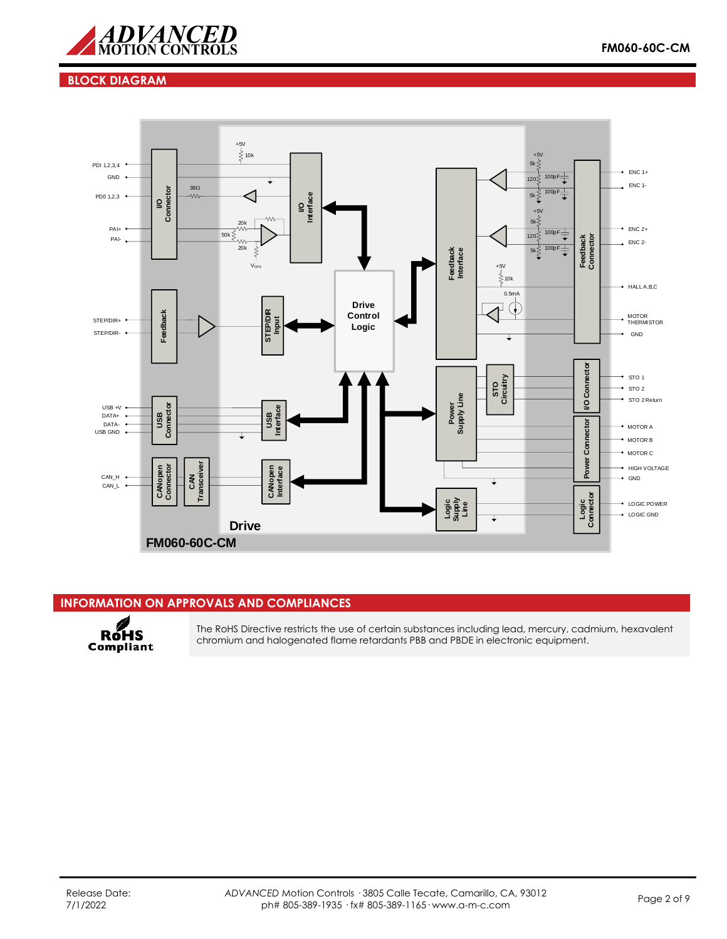

## **BLOCK DIAGRAM**



## **INFORMATION ON APPROVALS AND COMPLIANCES**



The RoHS Directive restricts the use of certain substances including lead, mercury, cadmium, hexavalent chromium and halogenated flame retardants PBB and PBDE in electronic equipment.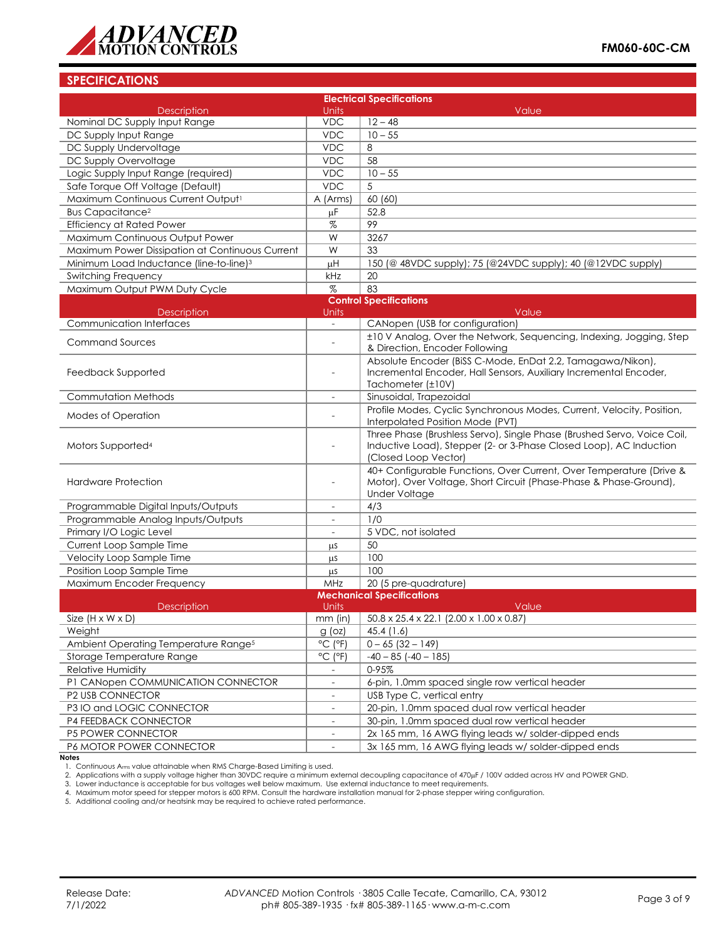

## **SPECIFICATIONS**

| <b>Electrical Specifications</b>                    |                              |                                                                                                                                                                       |  |
|-----------------------------------------------------|------------------------------|-----------------------------------------------------------------------------------------------------------------------------------------------------------------------|--|
| <b>Description</b>                                  | <b>Units</b>                 | Value                                                                                                                                                                 |  |
| Nominal DC Supply Input Range                       | <b>VDC</b>                   | $12 - 48$                                                                                                                                                             |  |
| DC Supply Input Range                               | <b>VDC</b>                   | $10 - 55$                                                                                                                                                             |  |
| DC Supply Undervoltage                              | <b>VDC</b>                   | 8                                                                                                                                                                     |  |
| DC Supply Overvoltage                               | <b>VDC</b>                   | 58                                                                                                                                                                    |  |
| Logic Supply Input Range (required)                 | <b>VDC</b>                   | $10 - 55$                                                                                                                                                             |  |
| Safe Torque Off Voltage (Default)                   | <b>VDC</b>                   | 5                                                                                                                                                                     |  |
| Maximum Continuous Current Output1                  | A (Arms)                     | 60 (60)                                                                                                                                                               |  |
| <b>Bus Capacitance<sup>2</sup></b>                  | μF                           | 52.8                                                                                                                                                                  |  |
| <b>Efficiency at Rated Power</b>                    | %                            | 99                                                                                                                                                                    |  |
| Maximum Continuous Output Power                     | W                            | 3267                                                                                                                                                                  |  |
| Maximum Power Dissipation at Continuous Current     | W                            | 33                                                                                                                                                                    |  |
| Minimum Load Inductance (line-to-line) <sup>3</sup> | μH                           | 150 (@ 48VDC supply); 75 (@24VDC supply); 40 (@12VDC supply)                                                                                                          |  |
| Switching Frequency                                 | kHz                          | 20                                                                                                                                                                    |  |
| Maximum Output PWM Duty Cycle                       | $\%$                         | 83                                                                                                                                                                    |  |
|                                                     |                              | <b>Control Specifications</b>                                                                                                                                         |  |
| <b>Description</b>                                  | Units                        | Value                                                                                                                                                                 |  |
| <b>Communication Interfaces</b>                     | $\equiv$                     | CANopen (USB for configuration)                                                                                                                                       |  |
| <b>Command Sources</b>                              | $\overline{a}$               | ±10 V Analog, Over the Network, Sequencing, Indexing, Jogging, Step                                                                                                   |  |
|                                                     |                              | & Direction, Encoder Following                                                                                                                                        |  |
|                                                     |                              | Absolute Encoder (BiSS C-Mode, EnDat 2.2, Tamagawa/Nikon),                                                                                                            |  |
| Feedback Supported                                  |                              | Incremental Encoder, Hall Sensors, Auxiliary Incremental Encoder,                                                                                                     |  |
|                                                     |                              | Tachometer (±10V)                                                                                                                                                     |  |
| Commutation Methods                                 | $\overline{\phantom{a}}$     | Sinusoidal, Trapezoidal                                                                                                                                               |  |
| Modes of Operation                                  | $\overline{a}$               | Profile Modes, Cyclic Synchronous Modes, Current, Velocity, Position,<br>Interpolated Position Mode (PVT)                                                             |  |
| Motors Supported <sup>4</sup>                       | $\overline{a}$               | Three Phase (Brushless Servo), Single Phase (Brushed Servo, Voice Coil,<br>Inductive Load), Stepper (2- or 3-Phase Closed Loop), AC Induction<br>(Closed Loop Vector) |  |
| <b>Hardware Protection</b>                          |                              | 40+ Configurable Functions, Over Current, Over Temperature (Drive &<br>Motor), Over Voltage, Short Circuit (Phase-Phase & Phase-Ground),<br>Under Voltage             |  |
| Programmable Digital Inputs/Outputs                 | $\overline{\phantom{a}}$     | 4/3                                                                                                                                                                   |  |
| Programmable Analog Inputs/Outputs                  |                              | 1/0                                                                                                                                                                   |  |
| Primary I/O Logic Level                             | $\overline{\phantom{a}}$     | 5 VDC, not isolated                                                                                                                                                   |  |
| Current Loop Sample Time                            | μS                           | 50                                                                                                                                                                    |  |
| Velocity Loop Sample Time                           | μS                           | 100                                                                                                                                                                   |  |
| Position Loop Sample Time                           | μS                           | 100                                                                                                                                                                   |  |
| Maximum Encoder Frequency                           | MHz                          | 20 (5 pre-quadrature)                                                                                                                                                 |  |
|                                                     |                              | <b>Mechanical Specifications</b>                                                                                                                                      |  |
| Description                                         | Units                        | Value                                                                                                                                                                 |  |
| Size $(H \times W \times D)$                        |                              | mm (in) $\left[ 50.8 \times 25.4 \times 22.1 \right] (2.00 \times 1.00 \times 0.87)$                                                                                  |  |
| Weight                                              | $g$ (oz)                     | 45.4 (1.6)                                                                                                                                                            |  |
| Ambient Operating Temperature Range <sup>5</sup>    | $^{\circ}$ C ( $^{\circ}$ F) | $0 - 65$ (32 - 149)                                                                                                                                                   |  |
| Storage Temperature Range                           | $^{\circ}$ C ( $^{\circ}$ F) | $-40 - 85$ ( $-40 - 185$ )                                                                                                                                            |  |
| Relative Humidity                                   |                              | 0-95%                                                                                                                                                                 |  |
| P1 CANopen COMMUNICATION CONNECTOR                  |                              | 6-pin, 1.0mm spaced single row vertical header                                                                                                                        |  |
| P2 USB CONNECTOR                                    | $\overline{\phantom{a}}$     | USB Type C, vertical entry                                                                                                                                            |  |
| P3 IO and LOGIC CONNECTOR                           | $\equiv$                     | 20-pin, 1.0mm spaced dual row vertical header                                                                                                                         |  |
| P4 FEEDBACK CONNECTOR                               | $\overline{\phantom{a}}$     | 30-pin, 1.0mm spaced dual row vertical header                                                                                                                         |  |
| P5 POWER CONNECTOR                                  | $\overline{\phantom{a}}$     | 2x 165 mm, 16 AWG flying leads w/ solder-dipped ends                                                                                                                  |  |
| P6 MOTOR POWER CONNECTOR                            |                              | 3x 165 mm, 16 AWG flying leads w/ solder-dipped ends                                                                                                                  |  |

**Notes**

1. Continuous Arms value attainable when RMS Charge-Based Limiting is used.

2. Applications with a supply voltage higher than 30VDC require a minimum external decoupling capacitance of 470µF / 100V added across HV and POWER GND.

3. Lower inductance is acceptable for bus voltages well below maximum. Use external inductance to meet requirements.<br>4. Maximum motor speed for stepper motors is 600 RPM. Consult the hardware installation manual for 2-pha

5. Additional cooling and/or heatsink may be required to achieve rated performance.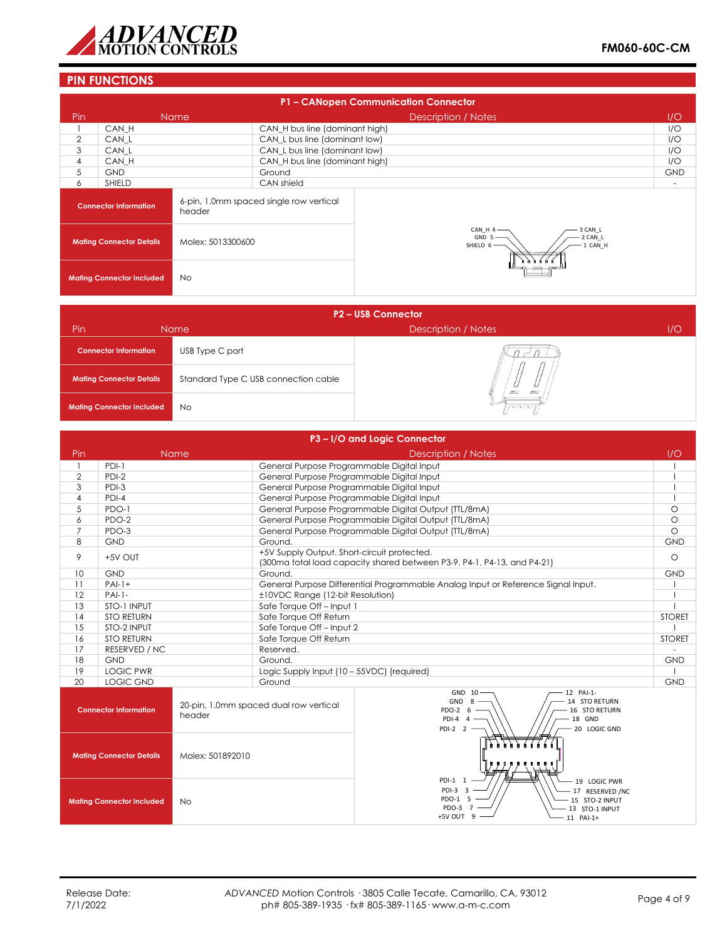

# **PIN FUNCTIONS**

|                                 | P1 - CANopen Communication Connector |                   |                                         |                                                                  |                          |
|---------------------------------|--------------------------------------|-------------------|-----------------------------------------|------------------------------------------------------------------|--------------------------|
| Pin                             |                                      | <b>Name</b>       |                                         | Description / Notes                                              | 1/O                      |
|                                 | CAN H                                |                   | CAN_H bus line (dominant high)          |                                                                  | I/O                      |
| $\overline{2}$                  | CAN L                                |                   | CAN L bus line (dominant low)           |                                                                  | I/O                      |
| 3                               | CAN L                                |                   | CAN L bus line (dominant low)           |                                                                  | I/O                      |
| 4                               | CAN H                                |                   | CAN_H bus line (dominant high)          |                                                                  | I/O                      |
| 5                               | <b>GND</b>                           |                   | Ground                                  |                                                                  | <b>GND</b>               |
| 6                               | <b>SHIELD</b>                        |                   | CAN shield                              |                                                                  | $\overline{\phantom{a}}$ |
|                                 | <b>Connector Information</b>         | header            | 6-pin, 1.0mm spaced single row vertical |                                                                  |                          |
| <b>Mating Connector Details</b> |                                      | Molex: 5013300600 |                                         | 3 CAN L<br>CAN_H 4<br>GND 5<br>2 CAN_L<br>SHIELD $6-$<br>1 CAN_H |                          |
|                                 | <b>Mating Connector Included</b>     | <b>No</b>         |                                         |                                                                  |                          |

| <b>P2-USB Connector</b>          |                                      |                           |     |  |
|----------------------------------|--------------------------------------|---------------------------|-----|--|
| Pin                              | Name                                 | Description / Notes       | 1/O |  |
| <b>Connector Information</b>     | USB Type C port                      |                           |     |  |
| <b>Mating Connector Details</b>  | Standard Type C USB connection cable | <b>DALL</b><br><b>DEC</b> |     |  |
| <b>Mating Connector Included</b> | <b>No</b>                            | nnn                       |     |  |

|                                               |                                 |                                                                                   |                                             | P3-I/O and Logic Connector                                                                                                                      |               |
|-----------------------------------------------|---------------------------------|-----------------------------------------------------------------------------------|---------------------------------------------|-------------------------------------------------------------------------------------------------------------------------------------------------|---------------|
| Pin                                           |                                 | Name                                                                              |                                             | <b>Description / Notes</b>                                                                                                                      | 1/O           |
|                                               | $PDI-1$                         |                                                                                   | General Purpose Programmable Digital Input  |                                                                                                                                                 |               |
| $\overline{2}$                                | $PDI-2$                         |                                                                                   | General Purpose Programmable Digital Input  |                                                                                                                                                 |               |
| 3                                             | PDI-3                           |                                                                                   | General Purpose Programmable Digital Input  |                                                                                                                                                 |               |
| $\overline{4}$                                | $PDI-4$                         |                                                                                   | General Purpose Programmable Digital Input  |                                                                                                                                                 |               |
| 5                                             | PDO-1                           |                                                                                   |                                             | General Purpose Programmable Digital Output (TTL/8mA)                                                                                           | $\circ$       |
| 6                                             | PDO-2                           |                                                                                   |                                             | General Purpose Programmable Digital Output (TTL/8mA)                                                                                           | $\circ$       |
| $\overline{7}$                                | PDO-3                           |                                                                                   |                                             | General Purpose Programmable Digital Output (TTL/8mA)                                                                                           | $\circ$       |
| 8                                             | <b>GND</b>                      |                                                                                   | Ground.                                     |                                                                                                                                                 | <b>GND</b>    |
| 9                                             | +5V OUT                         |                                                                                   | +5V Supply Output. Short-circuit protected. | (300ma total load capacity shared between P3-9, P4-1, P4-13, and P4-21)                                                                         | $\circ$       |
| 10                                            | <b>GND</b>                      |                                                                                   | Ground.                                     |                                                                                                                                                 | <b>GND</b>    |
| 11                                            | $PA -1+$                        | General Purpose Differential Programmable Analog Input or Reference Signal Input. |                                             |                                                                                                                                                 |               |
| 12                                            | $PAI-1-$                        |                                                                                   | ±10VDC Range (12-bit Resolution)            |                                                                                                                                                 |               |
| 13                                            | STO-1 INPUT                     |                                                                                   | Safe Torque Off-Input 1                     |                                                                                                                                                 |               |
| 14                                            | <b>STO RETURN</b>               |                                                                                   | Safe Torque Off Return                      |                                                                                                                                                 | <b>STORET</b> |
| 15                                            | STO-2 INPUT                     |                                                                                   | Safe Torque Off - Input 2                   |                                                                                                                                                 |               |
| 16                                            | <b>STO RETURN</b>               |                                                                                   | Safe Torque Off Return                      |                                                                                                                                                 | <b>STORET</b> |
| 17                                            | <b>RESERVED / NC</b>            |                                                                                   | Reserved.                                   |                                                                                                                                                 |               |
| 18                                            | <b>GND</b>                      |                                                                                   | Ground.                                     |                                                                                                                                                 | <b>GND</b>    |
| 19                                            | <b>LOGIC PWR</b>                |                                                                                   | Logic Supply Input (10 - 55VDC) (required)  |                                                                                                                                                 |               |
| 20                                            | <b>LOGIC GND</b>                |                                                                                   | Ground                                      |                                                                                                                                                 | <b>GND</b>    |
|                                               | <b>Connector Information</b>    | header                                                                            | 20-pin, 1.0mm spaced dual row vertical      | 12 PAI-1-<br>GND 10<br><b>GND</b><br>14 STO RETURN<br>8<br>PDO-2 6<br>16 STO RETURN<br>$PDI-4$ 4<br>18 GND<br>PDI-2 $2 -$<br>20 LOGIC GND       |               |
|                                               | <b>Mating Connector Details</b> | Molex: 501892010                                                                  |                                             |                                                                                                                                                 |               |
| <b>Mating Connector Included</b><br><b>No</b> |                                 |                                                                                   |                                             | PDI-1 1<br>19 LOGIC PWR<br>$PDI-3$ 3<br>17 RESERVED /NC<br>PDO-1 5<br>15 STO-2 INPUT<br>PDO-3 7<br>13 STO-1 INPUT<br>+5V OUT<br>-9<br>11 PAI-1+ |               |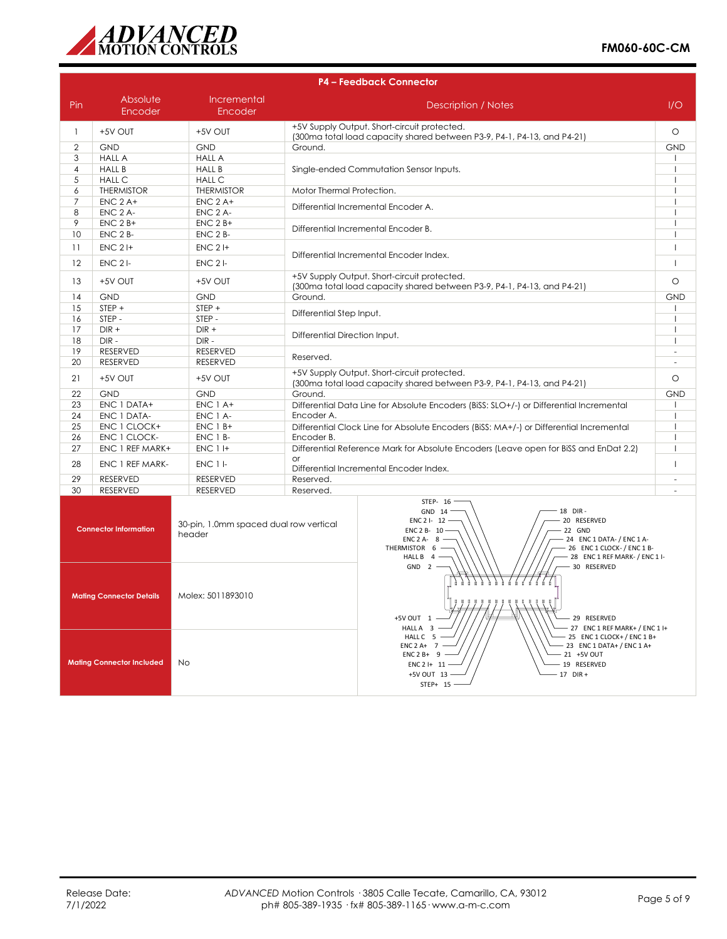

|                | <b>P4 - Feedback Connector</b> |                                                  |                                                                                                                                                                                                                                                   |                          |  |
|----------------|--------------------------------|--------------------------------------------------|---------------------------------------------------------------------------------------------------------------------------------------------------------------------------------------------------------------------------------------------------|--------------------------|--|
| Pin            | Absolute<br>Encoder            | Incremental<br>Encoder                           | <b>Description / Notes</b>                                                                                                                                                                                                                        | I/O                      |  |
| $\mathbf{1}$   | +5V OUT                        | +5V OUT                                          | +5V Supply Output. Short-circuit protected.<br>(300ma total load capacity shared between P3-9, P4-1, P4-13, and P4-21)                                                                                                                            | $\circ$                  |  |
| 2              | <b>GND</b>                     | <b>GND</b>                                       | Ground.                                                                                                                                                                                                                                           | <b>GND</b>               |  |
| 3              | <b>HALL A</b>                  | <b>HALL A</b>                                    |                                                                                                                                                                                                                                                   |                          |  |
| $\overline{4}$ | <b>HALL B</b>                  | <b>HALL B</b>                                    | Single-ended Commutation Sensor Inputs.                                                                                                                                                                                                           |                          |  |
| 5              | <b>HALL C</b>                  | <b>HALL C</b>                                    |                                                                                                                                                                                                                                                   |                          |  |
| 6              | <b>THERMISTOR</b>              | <b>THERMISTOR</b>                                | Motor Thermal Protection.                                                                                                                                                                                                                         |                          |  |
| $\overline{7}$ | $ENC$ 2 A+                     | $ENC$ 2 A+                                       |                                                                                                                                                                                                                                                   |                          |  |
| 8              | ENC 2 A-                       | ENC <sub>2</sub> A-                              | Differential Incremental Encoder A.                                                                                                                                                                                                               |                          |  |
| 9              | $ENC$ 2 $B+$                   | $ENC$ 2 $B+$                                     |                                                                                                                                                                                                                                                   |                          |  |
| 10             | ENC 2 B-                       | ENC 2 B-                                         | Differential Incremental Encoder B.                                                                                                                                                                                                               |                          |  |
| 11             | $ENC$ 2 $H$                    | $ENC$ 2 $H$                                      |                                                                                                                                                                                                                                                   |                          |  |
| 12             | <b>ENC 21-</b>                 | $ENC2$ -                                         | Differential Incremental Encoder Index.                                                                                                                                                                                                           |                          |  |
| 13             | +5V OUT                        | +5V OUT                                          | +5V Supply Output. Short-circuit protected.<br>(300ma total load capacity shared between P3-9, P4-1, P4-13, and P4-21)                                                                                                                            | $\circ$                  |  |
| 14             | <b>GND</b>                     | <b>GND</b>                                       | Ground.                                                                                                                                                                                                                                           | <b>GND</b>               |  |
| 15             | $STEP +$                       | STEP +                                           | Differential Step Input.                                                                                                                                                                                                                          |                          |  |
| 16             | STEP -                         | STEP-                                            |                                                                                                                                                                                                                                                   |                          |  |
| 17             | $DIR +$                        | $DIR +$                                          | Differential Direction Input.                                                                                                                                                                                                                     |                          |  |
| 18             | $DIR -$                        | $DIR -$                                          |                                                                                                                                                                                                                                                   |                          |  |
| 19             | <b>RESERVED</b>                | <b>RESERVED</b>                                  | Reserved.                                                                                                                                                                                                                                         |                          |  |
| 20             | <b>RESERVED</b>                | <b>RESERVED</b>                                  |                                                                                                                                                                                                                                                   | $\overline{\phantom{a}}$ |  |
| 21             | +5V OUT                        | +5V OUT                                          | +5V Supply Output. Short-circuit protected.<br>(300ma total load capacity shared between P3-9, P4-1, P4-13, and P4-21)                                                                                                                            |                          |  |
| 22             | <b>GND</b>                     | <b>GND</b>                                       | Ground.                                                                                                                                                                                                                                           | <b>GND</b>               |  |
| 23             | ENC 1 DATA+                    | $ENC 1A+$                                        | Differential Data Line for Absolute Encoders (BiSS: SLO+/-) or Differential Incremental                                                                                                                                                           |                          |  |
| 24             | ENC 1 DATA-                    | ENC 1 A-                                         | Encoder A.                                                                                                                                                                                                                                        | $\mathbf{I}$             |  |
| 25             | ENC 1 CLOCK+                   | $ENC 1B+$                                        | Differential Clock Line for Absolute Encoders (BiSS: MA+/-) or Differential Incremental                                                                                                                                                           |                          |  |
| 26             | ENC 1 CLOCK-                   | ENC 1 B-                                         | Encoder B.                                                                                                                                                                                                                                        |                          |  |
| 27             | ENC 1 REF MARK+                | <b>ENC 1 I+</b>                                  | Differential Reference Mark for Absolute Encoders (Leave open for BiSS and EnDat 2.2)                                                                                                                                                             |                          |  |
| 28             | ENC 1 REF MARK-                | <b>ENC 1 I-</b>                                  | $\alpha$ r<br>Differential Incremental Encoder Index.                                                                                                                                                                                             |                          |  |
| 29             | <b>RESERVED</b>                | <b>RESERVED</b>                                  | Reserved.                                                                                                                                                                                                                                         |                          |  |
| 30             | <b>RESERVED</b>                | <b>RESERVED</b>                                  | Reserved.                                                                                                                                                                                                                                         |                          |  |
|                | <b>Connector Information</b>   | 30-pin, 1.0mm spaced dual row vertical<br>header | STEP- 16<br>18 DIR-<br>GND 14<br>20 RESERVED<br>ENC 2 I- $12 -$<br>ENC 2 B- $10 -$<br>22 GND<br>- 24 ENC 1 DATA- / ENC 1 A-<br>ENC $2A-8$ -<br>- 26 ENC 1 CLOCK- / ENC 1 B-<br>THERMISTOR $6 -$<br>- 28 ENC 1 REF MARK- / ENC 1 I-<br>HALL B $4-$ |                          |  |

| <b>Connector Information</b>     | JU-plit, it, ultimit spaced abdition verifical<br>header | ENC 2 B- $10 -$<br>22 GND<br>24 ENC 1 DATA- / ENC 1 A-<br>ENC 2 A- $8 -$<br>26 ENC 1 CLOCK- / ENC 1 B-<br>THERMISTOR 6<br>28 ENC 1 REF MARK- / ENC 1 I-<br>HALL B $4$ –                                    |
|----------------------------------|----------------------------------------------------------|------------------------------------------------------------------------------------------------------------------------------------------------------------------------------------------------------------|
| <b>Mating Connector Details</b>  | Molex: 5011893010                                        | - 30 RESERVED<br>GND<br>2<br>.<br>'⊯—<br>- 29 RESERVED<br>+5V OUT 1<br>- 27 ENC 1 REF MARK+ / ENC 1 I+<br>HALL A 3                                                                                         |
| <b>Mating Connector Included</b> | No.                                                      | HALL C 5<br>$-$ 25 ENC 1 CLOCK+/ENC 1 B+<br>- 23 ENC 1 DATA+ / ENC 1 A+<br>$ENC 2 A+ 7$<br>$ENC 2B+ 9$ –<br>21 +5V OUT<br>ENC 2 I+ $11$ –<br>19 RESERVED<br>$17$ DIR +<br>$+5V$ OUT $13 -$<br>$STEP+ 15 -$ |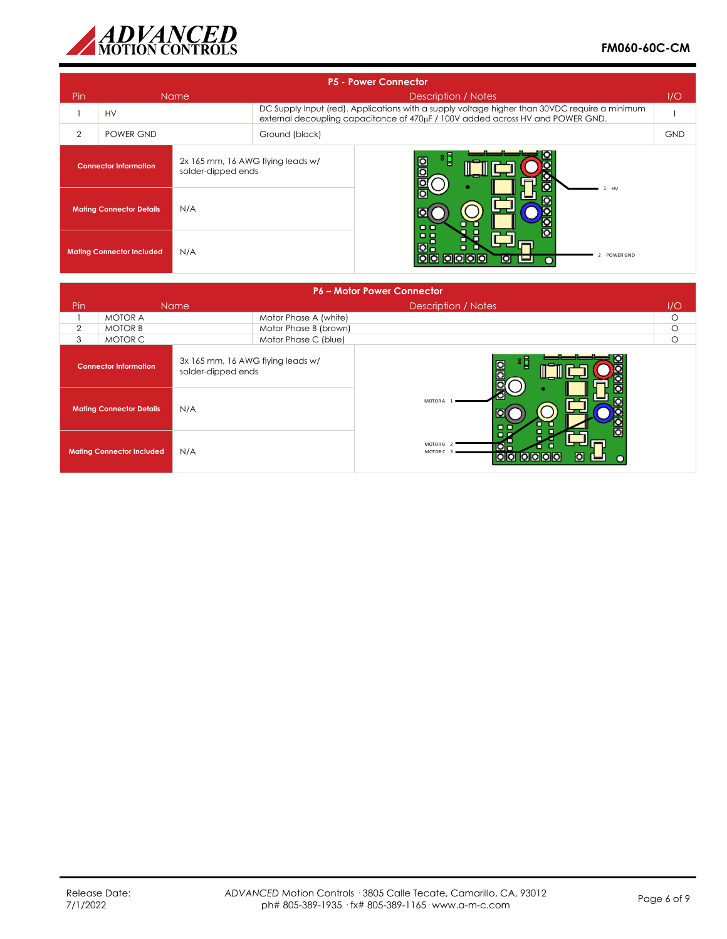

|                                  | <b>P5 - Power Connector</b>            |                    |                                                                                                                                                                                 |            |  |
|----------------------------------|----------------------------------------|--------------------|---------------------------------------------------------------------------------------------------------------------------------------------------------------------------------|------------|--|
| Pin.                             | <b>Name</b>                            |                    | Description / Notes                                                                                                                                                             | 1/O        |  |
|                                  | <b>HV</b>                              |                    | DC Supply Input (red). Applications with a supply voltage higher than 30VDC require a minimum<br>external decoupling capacitance of 470uF / 100V added across HV and POWER GND. |            |  |
| $\overline{2}$                   | POWER GND                              |                    | Ground (black)                                                                                                                                                                  | <b>GND</b> |  |
|                                  | <b>Connector Information</b>           | solder-dipped ends | $\frac{1}{2}$<br>$\frac{1}{10}$<br>2x 165 mm, 16 AWG flying leads w/                                                                                                            |            |  |
|                                  | N/A<br><b>Mating Connector Details</b> |                    | HV<br>$\Box$                                                                                                                                                                    |            |  |
| <b>Mating Connector Included</b> |                                        | N/A                | ρg<br>O <sub>0</sub><br>о<br>POWER GND<br> O O O <br>OIO<br>ЮI                                                                                                                  |            |  |

|                |                                  |                                                         |                       | <b>P6 - Motor Power Connector</b>                                    |          |
|----------------|----------------------------------|---------------------------------------------------------|-----------------------|----------------------------------------------------------------------|----------|
| Pin            |                                  | <b>Name</b>                                             |                       | Description / Notes                                                  | 1/O      |
|                | <b>MOTOR A</b>                   |                                                         | Motor Phase A (white) |                                                                      | $\circ$  |
| $\overline{2}$ | <b>MOTOR B</b>                   |                                                         | Motor Phase B (brown) |                                                                      | $\circ$  |
| 3              | MOTOR C                          |                                                         | Motor Phase C (blue)  |                                                                      | $\Omega$ |
|                | <b>Connector Information</b>     | 3x 165 mm, 16 AWG flying leads w/<br>solder-dipped ends |                       | 'L<br>$\circ$                                                        |          |
|                | <b>Mating Connector Details</b>  | N/A                                                     |                       | MOTOR A<br>$\Box$                                                    |          |
|                | <b>Mating Connector Included</b> | N/A                                                     |                       | MOTOR B <sub>2</sub><br><b>O</b> o<br>MOTOR C<br>$\bullet$<br>000000 |          |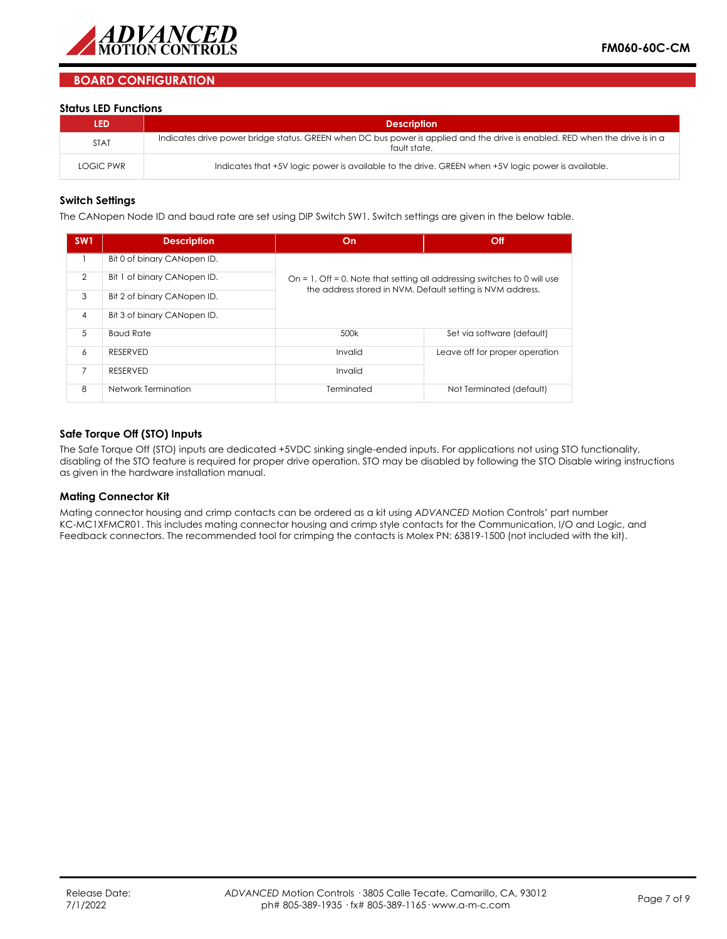

## **BOARD CONFIGURATION**

### **Status LED Functions**

| LED         | <b>Description</b>                                                                                                                           |
|-------------|----------------------------------------------------------------------------------------------------------------------------------------------|
| <b>STAT</b> | Indicates drive power bridge status. GREEN when DC bus power is applied and the drive is enabled. RED when the drive is in a<br>fault state. |
| LOGIC PWR   | Indicates that +5V logic power is available to the drive. GREEN when +5V logic power is available.                                           |

### **Switch Settings**

The CANopen Node ID and baud rate are set using DIP Switch SW1. Switch settings are given in the below table.

| SW <sub>1</sub> | <b>Description</b>          | On                                                                       | Off                            |
|-----------------|-----------------------------|--------------------------------------------------------------------------|--------------------------------|
|                 | Bit 0 of binary CANopen ID. |                                                                          |                                |
| $\mathcal{P}$   | Bit 1 of binary CANopen ID. | On = 1, Off = 0. Note that setting all addressing switches to 0 will use |                                |
| 3               | Bit 2 of binary CANopen ID. | the address stored in NVM. Default setting is NVM address.               |                                |
| $\overline{4}$  | Bit 3 of binary CANopen ID. |                                                                          |                                |
| 5               | <b>Baud Rate</b>            | 500k                                                                     | Set via software (default)     |
| 6               | <b>RESERVED</b>             | Invalid                                                                  | Leave off for proper operation |
| 7               | <b>RESERVED</b>             | Invalid                                                                  |                                |
| 8               | Network Termination         | Terminated                                                               | Not Terminated (default)       |

### **Safe Torque Off (STO) Inputs**

The Safe Torque Off (STO) inputs are dedicated +5VDC sinking single-ended inputs. For applications not using STO functionality, disabling of the STO feature is required for proper drive operation. STO may be disabled by following the STO Disable wiring instructions as given in the hardware installation manual.

### **Mating Connector Kit**

Mating connector housing and crimp contacts can be ordered as a kit using *ADVANCED* Motion Controls' part number KC-MC1XFMCR01. This includes mating connector housing and crimp style contacts for the Communication, I/O and Logic, and Feedback connectors. The recommended tool for crimping the contacts is Molex PN: 63819-1500 (not included with the kit).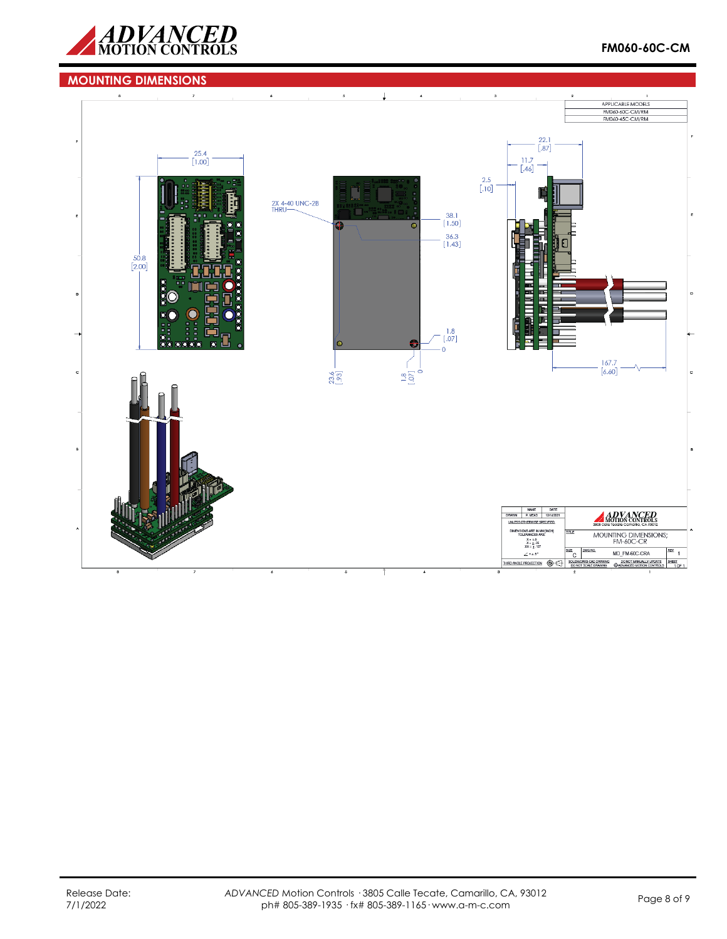

## **MOUNTING DIMENSIONS**